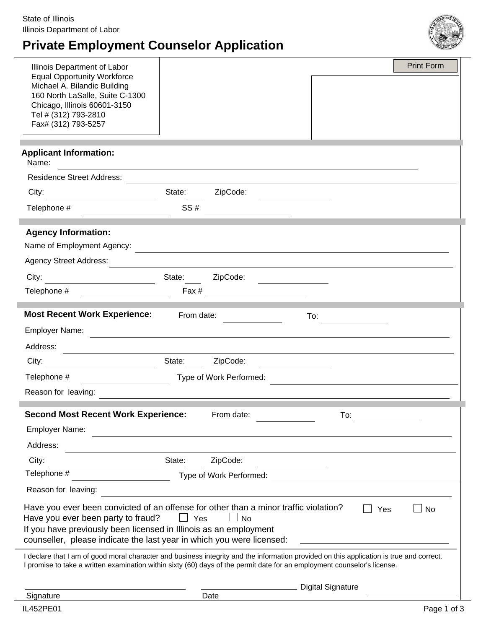# **Private Employment Counselor Application**



| Illinois Department of Labor                                          |                                                                                                                                                                                                                                                                      | <b>Print Form</b> |
|-----------------------------------------------------------------------|----------------------------------------------------------------------------------------------------------------------------------------------------------------------------------------------------------------------------------------------------------------------|-------------------|
| <b>Equal Opportunity Workforce</b><br>Michael A. Bilandic Building    |                                                                                                                                                                                                                                                                      |                   |
| 160 North LaSalle, Suite C-1300                                       |                                                                                                                                                                                                                                                                      |                   |
| Chicago, Illinois 60601-3150<br>Tel # (312) 793-2810                  |                                                                                                                                                                                                                                                                      |                   |
| Fax# (312) 793-5257                                                   |                                                                                                                                                                                                                                                                      |                   |
|                                                                       |                                                                                                                                                                                                                                                                      |                   |
| <b>Applicant Information:</b><br>Name:                                |                                                                                                                                                                                                                                                                      |                   |
| <b>Residence Street Address:</b>                                      |                                                                                                                                                                                                                                                                      |                   |
| City:                                                                 | ZipCode:<br>State:                                                                                                                                                                                                                                                   |                   |
| Telephone #                                                           | SS#                                                                                                                                                                                                                                                                  |                   |
| <b>Agency Information:</b>                                            |                                                                                                                                                                                                                                                                      |                   |
| Name of Employment Agency:                                            |                                                                                                                                                                                                                                                                      |                   |
| <b>Agency Street Address:</b>                                         |                                                                                                                                                                                                                                                                      |                   |
| City:                                                                 | ZipCode:<br>State:                                                                                                                                                                                                                                                   |                   |
| Telephone #                                                           | Fax #                                                                                                                                                                                                                                                                |                   |
| <b>Most Recent Work Experience:</b>                                   | From date:<br>To:                                                                                                                                                                                                                                                    |                   |
| Employer Name:                                                        |                                                                                                                                                                                                                                                                      |                   |
| Address:                                                              |                                                                                                                                                                                                                                                                      |                   |
| City:                                                                 | State:<br>ZipCode:                                                                                                                                                                                                                                                   |                   |
| Telephone #                                                           | Type of Work Performed:                                                                                                                                                                                                                                              |                   |
| Reason for leaving:                                                   |                                                                                                                                                                                                                                                                      |                   |
| <b>Second Most Recent Work Experience:</b>                            | From date:<br>To:                                                                                                                                                                                                                                                    |                   |
| <b>Employer Name:</b>                                                 |                                                                                                                                                                                                                                                                      |                   |
| Address:                                                              |                                                                                                                                                                                                                                                                      |                   |
| City:                                                                 | ZipCode:<br>State:                                                                                                                                                                                                                                                   |                   |
| Telephone #                                                           | Type of Work Performed:                                                                                                                                                                                                                                              |                   |
| Reason for leaving:                                                   |                                                                                                                                                                                                                                                                      |                   |
|                                                                       | Have you ever been convicted of an offense for other than a minor traffic violation?<br>Yes                                                                                                                                                                          | <b>No</b>         |
| Have you ever been party to fraud?                                    | Yes<br>$\Box$ No<br>$\mathbf{L}$                                                                                                                                                                                                                                     |                   |
| If you have previously been licensed in Illinois as an employment     |                                                                                                                                                                                                                                                                      |                   |
| counseller, please indicate the last year in which you were licensed: |                                                                                                                                                                                                                                                                      |                   |
|                                                                       | I declare that I am of good moral character and business integrity and the information provided on this application is true and correct.<br>I promise to take a written examination within sixty (60) days of the permit date for an employment counselor's license. |                   |
|                                                                       | <b>Digital Signature</b>                                                                                                                                                                                                                                             |                   |
| Signature                                                             | Date                                                                                                                                                                                                                                                                 |                   |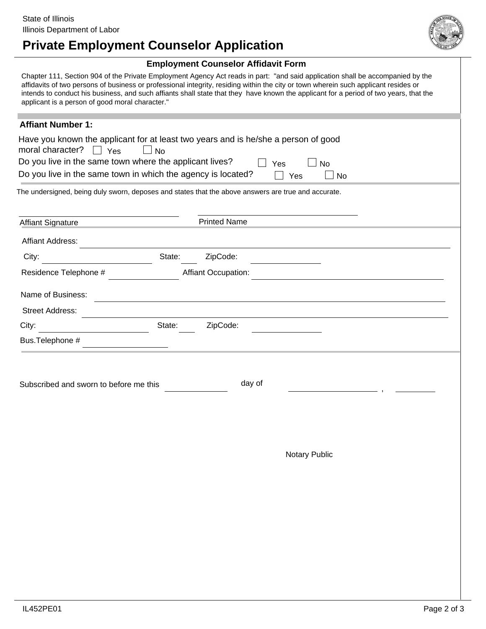

## **Private Employment Counselor Application**

#### **Employment Counselor Affidavit Form**

Chapter 111, Section 904 of the Private Employment Agency Act reads in part: "and said application shall be accompanied by the affidavits of two persons of business or professional integrity, residing within the city or town wherein such applicant resides or intends to conduct his business, and such affiants shall state that they have known the applicant for a period of two years, that the applicant is a person of good moral character."

### **Affiant Number 1:**

| Have you known the applicant for at least two years and is he/she a person of good<br>moral character? $\Box$ Yes<br><b>No</b><br>Do you live in the same town where the applicant lives?<br>Yes<br>No<br>Do you live in the same town in which the agency is located?<br>Yes<br>No |        |                            |  |  |  |  |  |
|-------------------------------------------------------------------------------------------------------------------------------------------------------------------------------------------------------------------------------------------------------------------------------------|--------|----------------------------|--|--|--|--|--|
| The undersigned, being duly sworn, deposes and states that the above answers are true and accurate.                                                                                                                                                                                 |        |                            |  |  |  |  |  |
| <b>Affiant Signature</b>                                                                                                                                                                                                                                                            |        | <b>Printed Name</b>        |  |  |  |  |  |
| <b>Affiant Address:</b>                                                                                                                                                                                                                                                             |        |                            |  |  |  |  |  |
| City:                                                                                                                                                                                                                                                                               | State: | ZipCode:                   |  |  |  |  |  |
| Residence Telephone #                                                                                                                                                                                                                                                               |        | <b>Affiant Occupation:</b> |  |  |  |  |  |
| Name of Business:                                                                                                                                                                                                                                                                   |        |                            |  |  |  |  |  |
| <b>Street Address:</b>                                                                                                                                                                                                                                                              |        |                            |  |  |  |  |  |
| City:                                                                                                                                                                                                                                                                               | State: | ZipCode:                   |  |  |  |  |  |
| Bus.Telephone #                                                                                                                                                                                                                                                                     |        |                            |  |  |  |  |  |

Subscribed and sworn to before me this day of

**Notary Public**